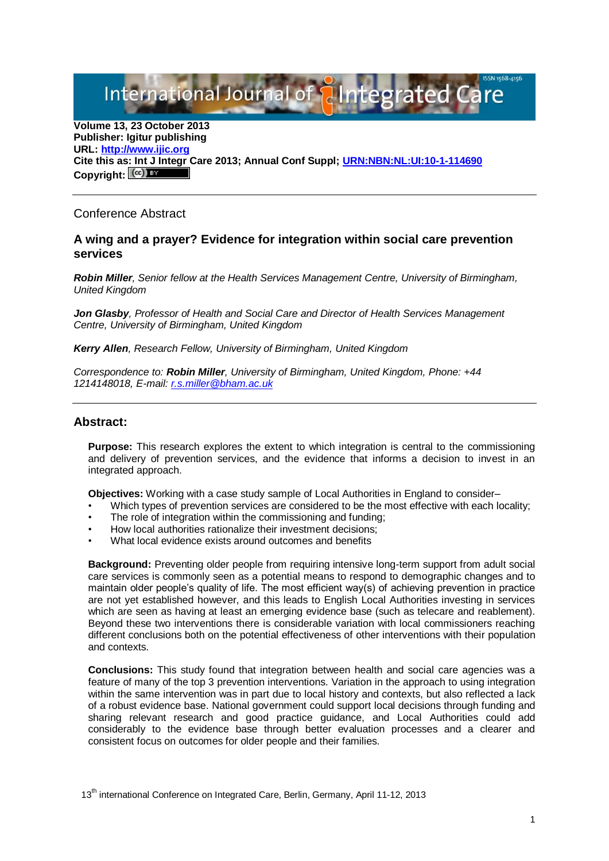International Journal of **AIntegrated** 

**Volume 13, 23 October 2013 Publisher: Igitur publishing URL[: http://www.ijic.org](http://www.ijic.org/) Cite this as: Int J Integr Care 2013; Annual Conf Suppl; [URN:NBN:NL:UI:10-1-114690](http://persistent-identifier.nl/?identifier=URN:NBN:NL:UI:10-1-114690)** Copyright:  $(cc)$  **E**Y

## Conference Abstract

## **A wing and a prayer? Evidence for integration within social care prevention services**

*Robin Miller, Senior fellow at the Health Services Management Centre, University of Birmingham, United Kingdom*

*Jon Glasby, Professor of Health and Social Care and Director of Health Services Management Centre, University of Birmingham, United Kingdom*

*Kerry Allen, Research Fellow, University of Birmingham, United Kingdom*

*Correspondence to: Robin Miller, University of Birmingham, United Kingdom, Phone: +44 1214148018, E-mail: [r.s.miller@bham.ac.uk](mailto:r.s.miller@bham.ac.uk)*

## **Abstract:**

**Purpose:** This research explores the extent to which integration is central to the commissioning and delivery of prevention services, and the evidence that informs a decision to invest in an integrated approach.

**Objectives:** Working with a case study sample of Local Authorities in England to consider–

- Which types of prevention services are considered to be the most effective with each locality;
- The role of integration within the commissioning and funding:
- How local authorities rationalize their investment decisions;
- What local evidence exists around outcomes and benefits

**Background:** Preventing older people from requiring intensive long-term support from adult social care services is commonly seen as a potential means to respond to demographic changes and to maintain older people's quality of life. The most efficient way(s) of achieving prevention in practice are not yet established however, and this leads to English Local Authorities investing in services which are seen as having at least an emerging evidence base (such as telecare and reablement). Beyond these two interventions there is considerable variation with local commissioners reaching different conclusions both on the potential effectiveness of other interventions with their population and contexts.

**Conclusions:** This study found that integration between health and social care agencies was a feature of many of the top 3 prevention interventions. Variation in the approach to using integration within the same intervention was in part due to local history and contexts, but also reflected a lack of a robust evidence base. National government could support local decisions through funding and sharing relevant research and good practice guidance, and Local Authorities could add considerably to the evidence base through better evaluation processes and a clearer and consistent focus on outcomes for older people and their families.